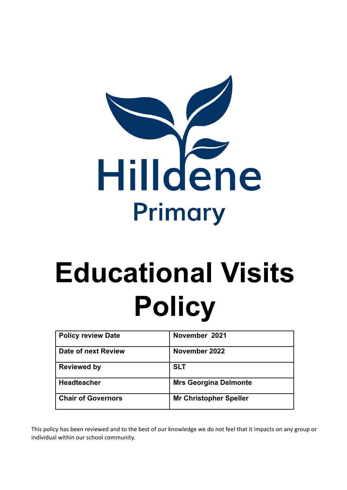

# **Educational Visits Policy**

| <b>Policy review Date</b> | November 2021                 |
|---------------------------|-------------------------------|
| Date of next Review       | November 2022                 |
| <b>Reviewed by</b>        | <b>SLT</b>                    |
| Headteacher               | <b>Mrs Georgina Delmonte</b>  |
| <b>Chair of Governors</b> | <b>Mr Christopher Speller</b> |

This policy has been reviewed and to the best of our knowledge we do not feel that it impacts on any group or individual within our school community.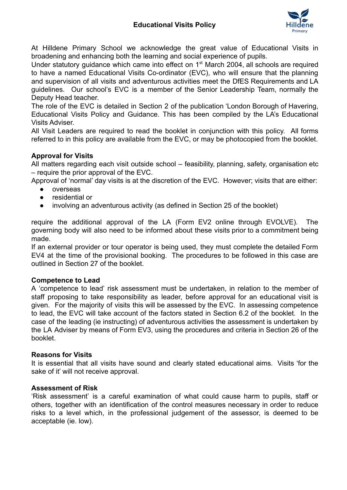

At Hilldene Primary School we acknowledge the great value of Educational Visits in broadening and enhancing both the learning and social experience of pupils.

Under statutory guidance which came into effect on 1<sup>st</sup> March 2004, all schools are required to have a named Educational Visits Co-ordinator (EVC), who will ensure that the planning and supervision of all visits and adventurous activities meet the DfES Requirements and LA guidelines. Our school's EVC is a member of the Senior Leadership Team, normally the Deputy Head teacher.

The role of the EVC is detailed in Section 2 of the publication 'London Borough of Havering, Educational Visits Policy and Guidance. This has been compiled by the LA's Educational Visits Adviser.

All Visit Leaders are required to read the booklet in conjunction with this policy. All forms referred to in this policy are available from the EVC, or may be photocopied from the booklet.

#### **Approval for Visits**

All matters regarding each visit outside school – feasibility, planning, safety, organisation etc – require the prior approval of the EVC.

Approval of 'normal' day visits is at the discretion of the EVC. However; visits that are either:

- overseas
- residential or
- involving an adventurous activity (as defined in Section 25 of the booklet)

require the additional approval of the LA (Form EV2 online through EVOLVE). The governing body will also need to be informed about these visits prior to a commitment being made.

If an external provider or tour operator is being used, they must complete the detailed Form EV4 at the time of the provisional booking. The procedures to be followed in this case are outlined in Section 27 of the booklet.

#### **Competence to Lead**

A 'competence to lead' risk assessment must be undertaken, in relation to the member of staff proposing to take responsibility as leader, before approval for an educational visit is given. For the majority of visits this will be assessed by the EVC. In assessing competence to lead, the EVC will take account of the factors stated in Section 6.2 of the booklet. In the case of the leading (ie instructing) of adventurous activities the assessment is undertaken by the LA Adviser by means of Form EV3, using the procedures and criteria in Section 26 of the booklet.

#### **Reasons for Visits**

It is essential that all visits have sound and clearly stated educational aims. Visits 'for the sake of it' will not receive approval.

#### **Assessment of Risk**

'Risk assessment' is a careful examination of what could cause harm to pupils, staff or others, together with an identification of the control measures necessary in order to reduce risks to a level which, in the professional judgement of the assessor, is deemed to be acceptable (ie. low).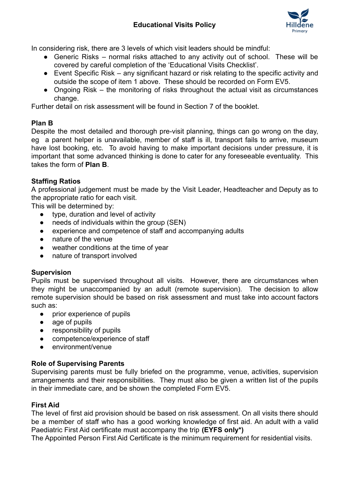

In considering risk, there are 3 levels of which visit leaders should be mindful:

- Generic Risks normal risks attached to any activity out of school. These will be covered by careful completion of the 'Educational Visits Checklist'.
- Event Specific Risk any significant hazard or risk relating to the specific activity and outside the scope of item 1 above. These should be recorded on Form EV5.
- Ongoing Risk the monitoring of risks throughout the actual visit as circumstances change.

Further detail on risk assessment will be found in Section 7 of the booklet.

#### **Plan B**

Despite the most detailed and thorough pre-visit planning, things can go wrong on the day, eg a parent helper is unavailable, member of staff is ill, transport fails to arrive, museum have lost booking, etc. To avoid having to make important decisions under pressure, it is important that some advanced thinking is done to cater for any foreseeable eventuality. This takes the form of **Plan B**.

#### **Staffing Ratios**

A professional judgement must be made by the Visit Leader, Headteacher and Deputy as to the appropriate ratio for each visit.

This will be determined by:

- type, duration and level of activity
- needs of individuals within the group (SEN)
- experience and competence of staff and accompanying adults
- nature of the venue
- weather conditions at the time of year
- nature of transport involved

#### **Supervision**

Pupils must be supervised throughout all visits. However, there are circumstances when they might be unaccompanied by an adult (remote supervision). The decision to allow remote supervision should be based on risk assessment and must take into account factors such as:

- prior experience of pupils
- age of pupils
- responsibility of pupils
- competence/experience of staff
- environment/venue

#### **Role of Supervising Parents**

Supervising parents must be fully briefed on the programme, venue, activities, supervision arrangements and their responsibilities. They must also be given a written list of the pupils in their immediate care, and be shown the completed Form EV5.

#### **First Aid**

The level of first aid provision should be based on risk assessment. On all visits there should be a member of staff who has a good working knowledge of first aid. An adult with a valid Paediatric First Aid certificate must accompany the trip **(EYFS only\*)**

The Appointed Person First Aid Certificate is the minimum requirement for residential visits.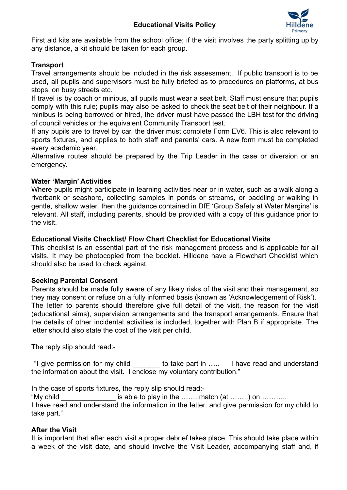

First aid kits are available from the school office; if the visit involves the party splitting up by any distance, a kit should be taken for each group.

#### **Transport**

Travel arrangements should be included in the risk assessment. If public transport is to be used, all pupils and supervisors must be fully briefed as to procedures on platforms, at bus stops, on busy streets etc.

If travel is by coach or minibus, all pupils must wear a seat belt. Staff must ensure that pupils comply with this rule; pupils may also be asked to check the seat belt of their neighbour. If a minibus is being borrowed or hired, the driver must have passed the LBH test for the driving of council vehicles or the equivalent Community Transport test.

If any pupils are to travel by car, the driver must complete Form EV6. This is also relevant to sports fixtures, and applies to both staff and parents' cars. A new form must be completed every academic year.

Alternative routes should be prepared by the Trip Leader in the case or diversion or an emergency.

#### **Water 'Margin' Activities**

Where pupils might participate in learning activities near or in water, such as a walk along a riverbank or seashore, collecting samples in ponds or streams, or paddling or walking in gentle, shallow water, then the guidance contained in DfE 'Group Safety at Water Margins' is relevant. All staff, including parents, should be provided with a copy of this guidance prior to the visit.

#### **Educational Visits Checklist/ Flow Chart Checklist for Educational Visits**

This checklist is an essential part of the risk management process and is applicable for all visits. It may be photocopied from the booklet. Hilldene have a Flowchart Checklist which should also be used to check against.

#### **Seeking Parental Consent**

Parents should be made fully aware of any likely risks of the visit and their management, so they may consent or refuse on a fully informed basis (known as 'Acknowledgement of Risk'). The letter to parents should therefore give full detail of the visit, the reason for the visit (educational aims), supervision arrangements and the transport arrangements. Ensure that the details of other incidental activities is included, together with Plan B if appropriate. The letter should also state the cost of the visit per child.

The reply slip should read:-

"I give permission for my child entirely to take part in ..... I have read and understand the information about the visit. I enclose my voluntary contribution."

In the case of sports fixtures, the reply slip should read:-

"My child  $\blacksquare$  is able to play in the ……. match (at ……..) on ……... I have read and understand the information in the letter, and give permission for my child to take part."

#### **After the Visit**

It is important that after each visit a proper debrief takes place. This should take place within a week of the visit date, and should involve the Visit Leader, accompanying staff and, if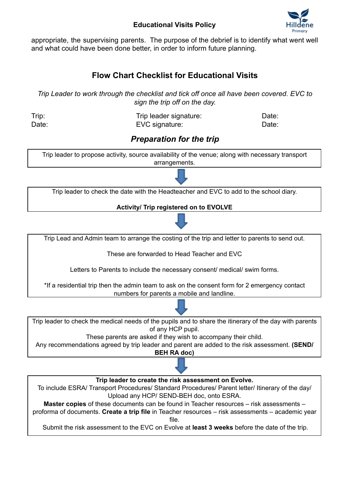#### **Educational Visits Policy**



appropriate, the supervising parents. The purpose of the debrief is to identify what went well and what could have been done better, in order to inform future planning.

# **Flow Chart Checklist for Educational Visits**

*Trip Leader to work through the checklist and tick off once all have been covered. EVC to sign the trip off on the day.*

Trip: Trip leader signature: Date: Date: Date: EVC signature: Date: Date:

## *Preparation for the trip*

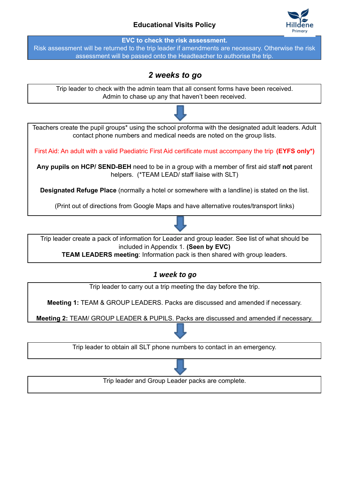#### **Educational Visits Policy**



**EVC to check the risk assessment.**

Risk assessment will be returned to the trip leader if amendments are necessary. Otherwise the risk assessment will be passed onto the Headteacher to authorise the trip.

# *2 weeks to go*

Trip leader to check with the admin team that all consent forms have been received. Admin to chase up any that haven't been received.

Teachers create the pupil groups\* using the school proforma with the designated adult leaders. Adult contact phone numbers and medical needs are noted on the group lists. First Aid: An adult with a valid Paediatric First Aid certificate must accompany the trip **(EYFS only\*) Any pupils on HCP/ SEND-BEH** need to be in a group with a member of first aid staff **not** parent helpers. (\*TEAM LEAD/ staff liaise with SLT) **Designated Refuge Place** (normally a hotel or somewhere with a landline) is stated on the list.

(Print out of directions from Google Maps and have alternative routes/transport links)

Trip leader create a pack of information for Leader and group leader. See list of what should be included in Appendix 1. **(Seen by EVC)**

**TEAM LEADERS meeting**: Information pack is then shared with group leaders.

### *1 week to go*

Trip leader to carry out a trip meeting the day before the trip.

**Meeting 1:** TEAM & GROUP LEADERS. Packs are discussed and amended if necessary.

**Meeting 2:** TEAM/ GROUP LEADER & PUPILS. Packs are discussed and amended if necessary.

Trip leader to obtain all SLT phone numbers to contact in an emergency.



Trip leader and Group Leader packs are complete.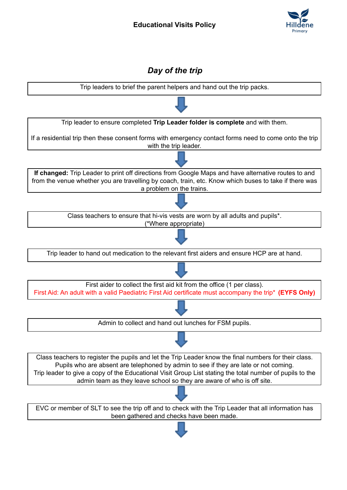

# *Day of the trip*